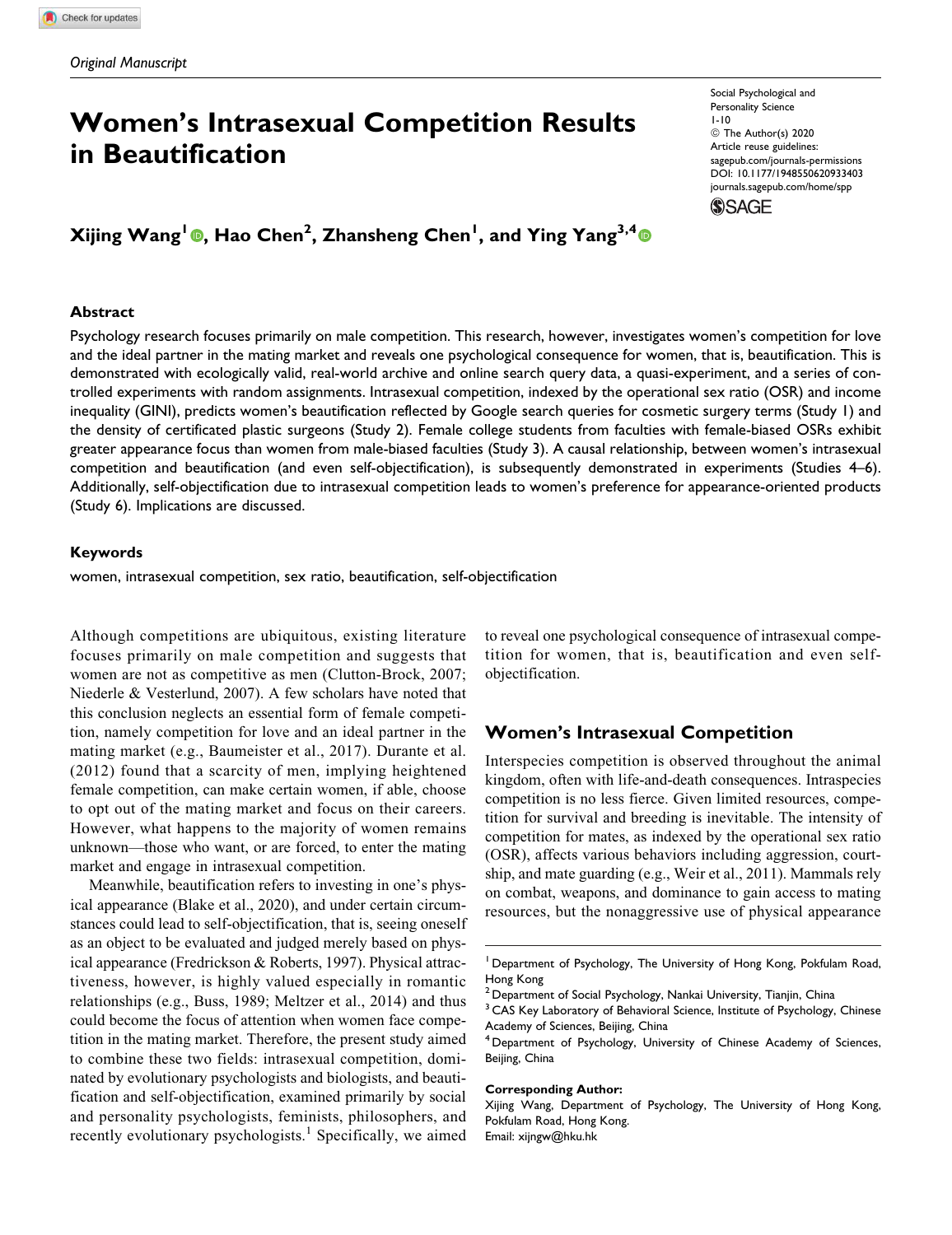# Women's Intrasexual Competition Results in Beautification

# Xijing Wang<sup>l</sup> ©, Hao Chen<sup>2</sup>, Zhansheng Chen<sup>l</sup>, and Ying Yang<sup>3,4</sup>

#### **Abstract**

Psychology research focuses primarily on male competition. This research, however, investigates women's competition for love and the ideal partner in the mating market and reveals one psychological consequence for women, that is, beautification. This is demonstrated with ecologically valid, real-world archive and online search query data, a quasi-experiment, and a series of controlled experiments with random assignments. Intrasexual competition, indexed by the operational sex ratio (OSR) and income inequality (GINI), predicts women's beautification reflected by Google search queries for cosmetic surgery terms (Study 1) and the density of certificated plastic surgeons (Study 2). Female college students from faculties with female-biased OSRs exhibit greater appearance focus than women from male-biased faculties (Study 3). A causal relationship, between women's intrasexual competition and beautification (and even self-objectification), is subsequently demonstrated in experiments (Studies 4–6). Additionally, self-objectification due to intrasexual competition leads to women's preference for appearance-oriented products (Study 6). Implications are discussed.

#### Keywords

women, intrasexual competition, sex ratio, beautification, self-objectification

Although competitions are ubiquitous, existing literature focuses primarily on male competition and suggests that women are not as competitive as men (Clutton-Brock, 2007; Niederle & Vesterlund, 2007). A few scholars have noted that this conclusion neglects an essential form of female competition, namely competition for love and an ideal partner in the mating market (e.g., Baumeister et al., 2017). Durante et al. (2012) found that a scarcity of men, implying heightened female competition, can make certain women, if able, choose to opt out of the mating market and focus on their careers. However, what happens to the majority of women remains unknown—those who want, or are forced, to enter the mating market and engage in intrasexual competition.

Meanwhile, beautification refers to investing in one's physical appearance (Blake et al., 2020), and under certain circumstances could lead to self-objectification, that is, seeing oneself as an object to be evaluated and judged merely based on physical appearance (Fredrickson & Roberts, 1997). Physical attractiveness, however, is highly valued especially in romantic relationships (e.g., Buss, 1989; Meltzer et al., 2014) and thus could become the focus of attention when women face competition in the mating market. Therefore, the present study aimed to combine these two fields: intrasexual competition, dominated by evolutionary psychologists and biologists, and beautification and self-objectification, examined primarily by social and personality psychologists, feminists, philosophers, and recently evolutionary psychologists.<sup>1</sup> Specifically, we aimed

to reveal one psychological consequence of intrasexual competition for women, that is, beautification and even selfobjectification.

# Women's Intrasexual Competition

Interspecies competition is observed throughout the animal kingdom, often with life-and-death consequences. Intraspecies competition is no less fierce. Given limited resources, competition for survival and breeding is inevitable. The intensity of competition for mates, as indexed by the operational sex ratio (OSR), affects various behaviors including aggression, courtship, and mate guarding (e.g., Weir et al., 2011). Mammals rely on combat, weapons, and dominance to gain access to mating resources, but the nonaggressive use of physical appearance

#### Corresponding Author:

Xijing Wang, Department of Psychology, The University of Hong Kong, Pokfulam Road, Hong Kong. Email: xijngw@hku.hk

Social Psychological and Personality Science 1-10 © The Author(s) 2020 Article reuse guidelines: sagepub.com/journals-permissions DOI: 10.1177/1948550620933403 journals.sagepub.com/home/spp**SSAGE** 

<sup>&</sup>lt;sup>1</sup> Department of Psychology, The University of Hong Kong, Pokfulam Road, Hong Kong

Department of Social Psychology, Nankai University, Tianjin, China

<sup>&</sup>lt;sup>3</sup> CAS Key Laboratory of Behavioral Science, Institute of Psychology, Chinese Academy of Sciences, Beijing, China

<sup>4</sup> Department of Psychology, University of Chinese Academy of Sciences, Beijing, China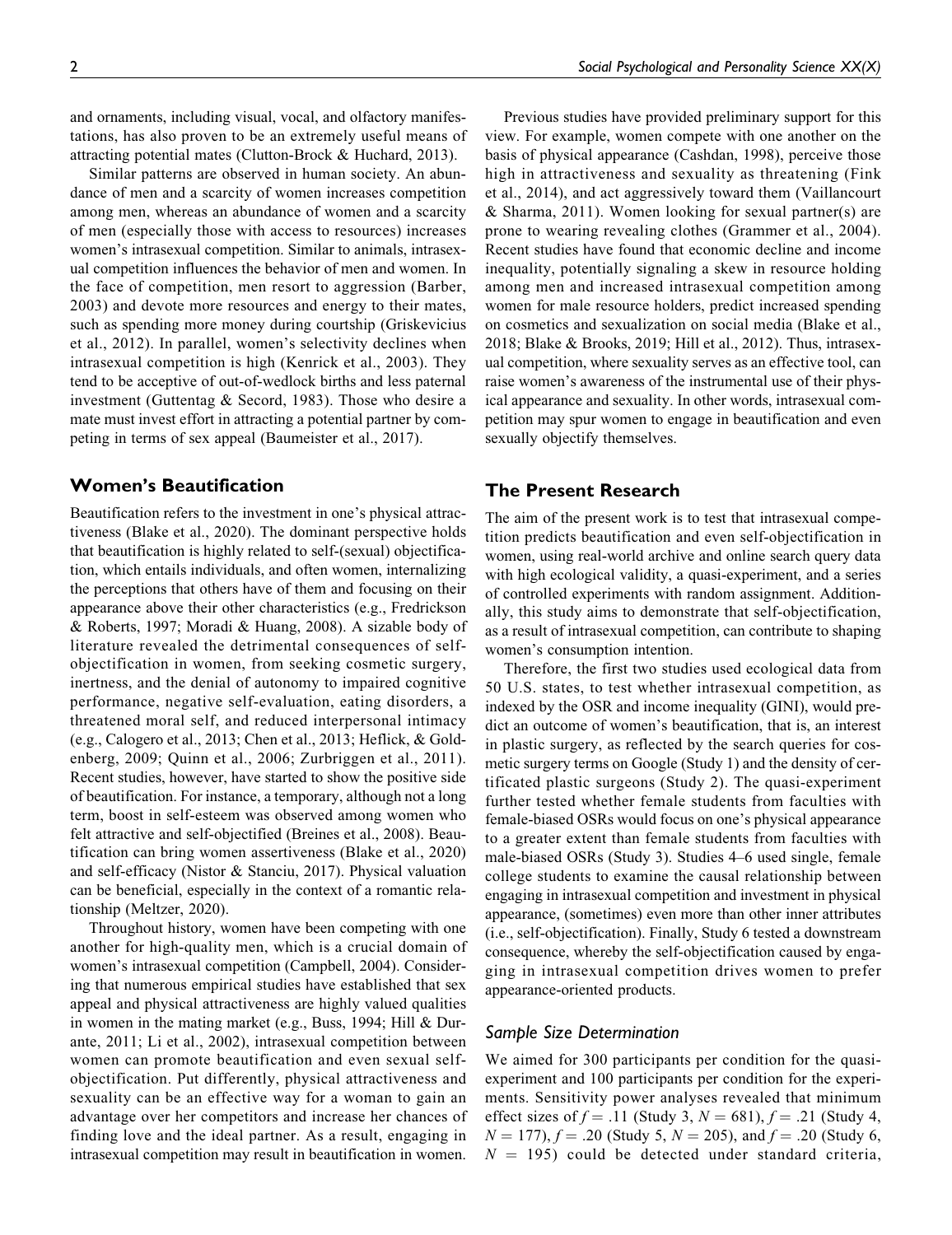and ornaments, including visual, vocal, and olfactory manifestations, has also proven to be an extremely useful means of attracting potential mates (Clutton-Brock & Huchard, 2013).

Similar patterns are observed in human society. An abundance of men and a scarcity of women increases competition among men, whereas an abundance of women and a scarcity of men (especially those with access to resources) increases women's intrasexual competition. Similar to animals, intrasexual competition influences the behavior of men and women. In the face of competition, men resort to aggression (Barber, 2003) and devote more resources and energy to their mates, such as spending more money during courtship (Griskevicius et al., 2012). In parallel, women's selectivity declines when intrasexual competition is high (Kenrick et al., 2003). They tend to be acceptive of out-of-wedlock births and less paternal investment (Guttentag & Secord, 1983). Those who desire a mate must invest effort in attracting a potential partner by competing in terms of sex appeal (Baumeister et al., 2017).

# Women's Beautification

Beautification refers to the investment in one's physical attractiveness (Blake et al., 2020). The dominant perspective holds that beautification is highly related to self-(sexual) objectification, which entails individuals, and often women, internalizing the perceptions that others have of them and focusing on their appearance above their other characteristics (e.g., Fredrickson & Roberts, 1997; Moradi & Huang, 2008). A sizable body of literature revealed the detrimental consequences of selfobjectification in women, from seeking cosmetic surgery, inertness, and the denial of autonomy to impaired cognitive performance, negative self-evaluation, eating disorders, a threatened moral self, and reduced interpersonal intimacy (e.g., Calogero et al., 2013; Chen et al., 2013; Heflick, & Goldenberg, 2009; Quinn et al., 2006; Zurbriggen et al., 2011). Recent studies, however, have started to show the positive side of beautification. For instance, a temporary, although not a long term, boost in self-esteem was observed among women who felt attractive and self-objectified (Breines et al., 2008). Beautification can bring women assertiveness (Blake et al., 2020) and self-efficacy (Nistor & Stanciu, 2017). Physical valuation can be beneficial, especially in the context of a romantic relationship (Meltzer, 2020).

Throughout history, women have been competing with one another for high-quality men, which is a crucial domain of women's intrasexual competition (Campbell, 2004). Considering that numerous empirical studies have established that sex appeal and physical attractiveness are highly valued qualities in women in the mating market (e.g., Buss, 1994; Hill & Durante, 2011; Li et al., 2002), intrasexual competition between women can promote beautification and even sexual selfobjectification. Put differently, physical attractiveness and sexuality can be an effective way for a woman to gain an advantage over her competitors and increase her chances of finding love and the ideal partner. As a result, engaging in intrasexual competition may result in beautification in women.

Previous studies have provided preliminary support for this view. For example, women compete with one another on the basis of physical appearance (Cashdan, 1998), perceive those high in attractiveness and sexuality as threatening (Fink et al., 2014), and act aggressively toward them (Vaillancourt & Sharma, 2011). Women looking for sexual partner(s) are prone to wearing revealing clothes (Grammer et al., 2004). Recent studies have found that economic decline and income inequality, potentially signaling a skew in resource holding among men and increased intrasexual competition among women for male resource holders, predict increased spending on cosmetics and sexualization on social media (Blake et al., 2018; Blake & Brooks, 2019; Hill et al., 2012). Thus, intrasexual competition, where sexuality serves as an effective tool, can raise women's awareness of the instrumental use of their physical appearance and sexuality. In other words, intrasexual competition may spur women to engage in beautification and even sexually objectify themselves.

# The Present Research

The aim of the present work is to test that intrasexual competition predicts beautification and even self-objectification in women, using real-world archive and online search query data with high ecological validity, a quasi-experiment, and a series of controlled experiments with random assignment. Additionally, this study aims to demonstrate that self-objectification, as a result of intrasexual competition, can contribute to shaping women's consumption intention.

Therefore, the first two studies used ecological data from 50 U.S. states, to test whether intrasexual competition, as indexed by the OSR and income inequality (GINI), would predict an outcome of women's beautification, that is, an interest in plastic surgery, as reflected by the search queries for cosmetic surgery terms on Google (Study 1) and the density of certificated plastic surgeons (Study 2). The quasi-experiment further tested whether female students from faculties with female-biased OSRs would focus on one's physical appearance to a greater extent than female students from faculties with male-biased OSRs (Study 3). Studies 4–6 used single, female college students to examine the causal relationship between engaging in intrasexual competition and investment in physical appearance, (sometimes) even more than other inner attributes (i.e., self-objectification). Finally, Study 6 tested a downstream consequence, whereby the self-objectification caused by engaging in intrasexual competition drives women to prefer appearance-oriented products.

## Sample Size Determination

We aimed for 300 participants per condition for the quasiexperiment and 100 participants per condition for the experiments. Sensitivity power analyses revealed that minimum effect sizes of  $f = .11$  (Study 3,  $N = 681$ ),  $f = .21$  (Study 4,  $N = 177$ ,  $f = .20$  (Study 5,  $N = 205$ ), and  $f = .20$  (Study 6,  $N = 195$ ) could be detected under standard criteria,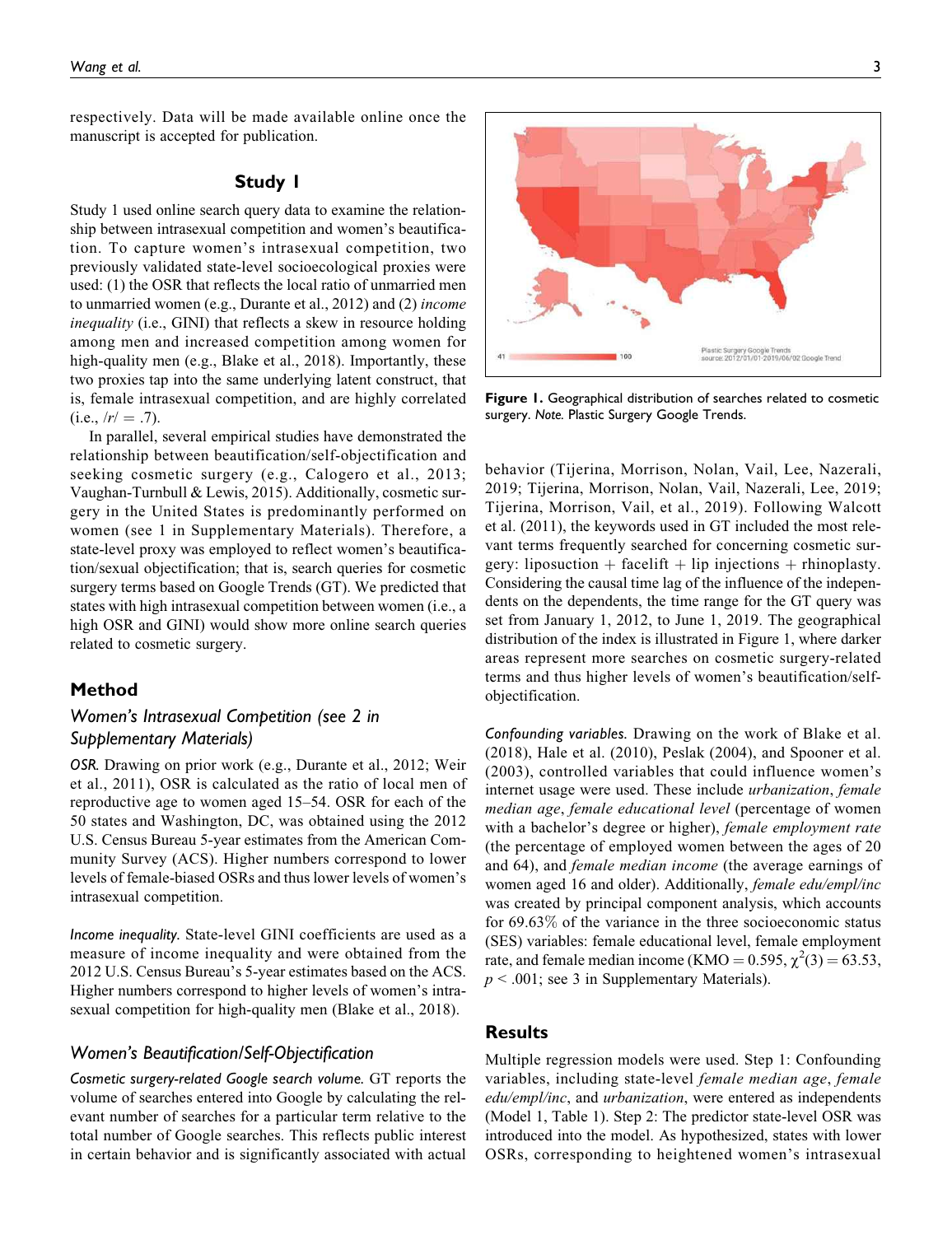respectively. Data will be made available online once the manuscript is accepted for publication.

# Study 1

Study 1 used online search query data to examine the relationship between intrasexual competition and women's beautification. To capture women's intrasexual competition, two previously validated state-level socioecological proxies were used: (1) the OSR that reflects the local ratio of unmarried men to unmarried women (e.g., Durante et al., 2012) and (2) income inequality (i.e., GINI) that reflects a skew in resource holding among men and increased competition among women for high-quality men (e.g., Blake et al., 2018). Importantly, these two proxies tap into the same underlying latent construct, that is, female intrasexual competition, and are highly correlated  $(i.e., /r' = .7).$ 

In parallel, several empirical studies have demonstrated the relationship between beautification/self-objectification and seeking cosmetic surgery (e.g., Calogero et al., 2013; Vaughan-Turnbull & Lewis, 2015). Additionally, cosmetic surgery in the United States is predominantly performed on women (see 1 in Supplementary Materials). Therefore, a state-level proxy was employed to reflect women's beautification/sexual objectification; that is, search queries for cosmetic surgery terms based on Google Trends (GT). We predicted that states with high intrasexual competition between women (i.e., a high OSR and GINI) would show more online search queries related to cosmetic surgery.

# Method

# Women's Intrasexual Competition (see 2 in Supplementary Materials)

OSR. Drawing on prior work (e.g., Durante et al., 2012; Weir et al., 2011), OSR is calculated as the ratio of local men of reproductive age to women aged 15–54. OSR for each of the 50 states and Washington, DC, was obtained using the 2012 U.S. Census Bureau 5-year estimates from the American Community Survey (ACS). Higher numbers correspond to lower levels of female-biased OSRs and thus lower levels of women's intrasexual competition.

Income inequality. State-level GINI coefficients are used as a measure of income inequality and were obtained from the 2012 U.S. Census Bureau's 5-year estimates based on the ACS. Higher numbers correspond to higher levels of women's intrasexual competition for high-quality men (Blake et al., 2018).

# Women's Beautification/Self-Objectification

Cosmetic surgery-related Google search volume. GT reports the volume of searches entered into Google by calculating the relevant number of searches for a particular term relative to the total number of Google searches. This reflects public interest in certain behavior and is significantly associated with actual



Figure 1. Geographical distribution of searches related to cosmetic surgery. Note. Plastic Surgery Google Trends.

behavior (Tijerina, Morrison, Nolan, Vail, Lee, Nazerali, 2019; Tijerina, Morrison, Nolan, Vail, Nazerali, Lee, 2019; Tijerina, Morrison, Vail, et al., 2019). Following Walcott et al. (2011), the keywords used in GT included the most relevant terms frequently searched for concerning cosmetic surgery: liposuction + facelift + lip injections + rhinoplasty. Considering the causal time lag of the influence of the independents on the dependents, the time range for the GT query was set from January 1, 2012, to June 1, 2019. The geographical distribution of the index is illustrated in Figure 1, where darker areas represent more searches on cosmetic surgery-related terms and thus higher levels of women's beautification/selfobjectification.

Confounding variables. Drawing on the work of Blake et al. (2018), Hale et al. (2010), Peslak (2004), and Spooner et al. (2003), controlled variables that could influence women's internet usage were used. These include urbanization, female median age, female educational level (percentage of women with a bachelor's degree or higher), *female employment rate* (the percentage of employed women between the ages of 20 and 64), and female median income (the average earnings of women aged 16 and older). Additionally, female edu/empl/inc was created by principal component analysis, which accounts for 69.63% of the variance in the three socioeconomic status (SES) variables: female educational level, female employment rate, and female median income (KMO =  $0.595$ ,  $\chi^2(3) = 63.53$ ,  $p < .001$ ; see 3 in Supplementary Materials).

# **Results**

Multiple regression models were used. Step 1: Confounding variables, including state-level female median age, female edu/empl/inc, and urbanization, were entered as independents (Model 1, Table 1). Step 2: The predictor state-level OSR was introduced into the model. As hypothesized, states with lower OSRs, corresponding to heightened women's intrasexual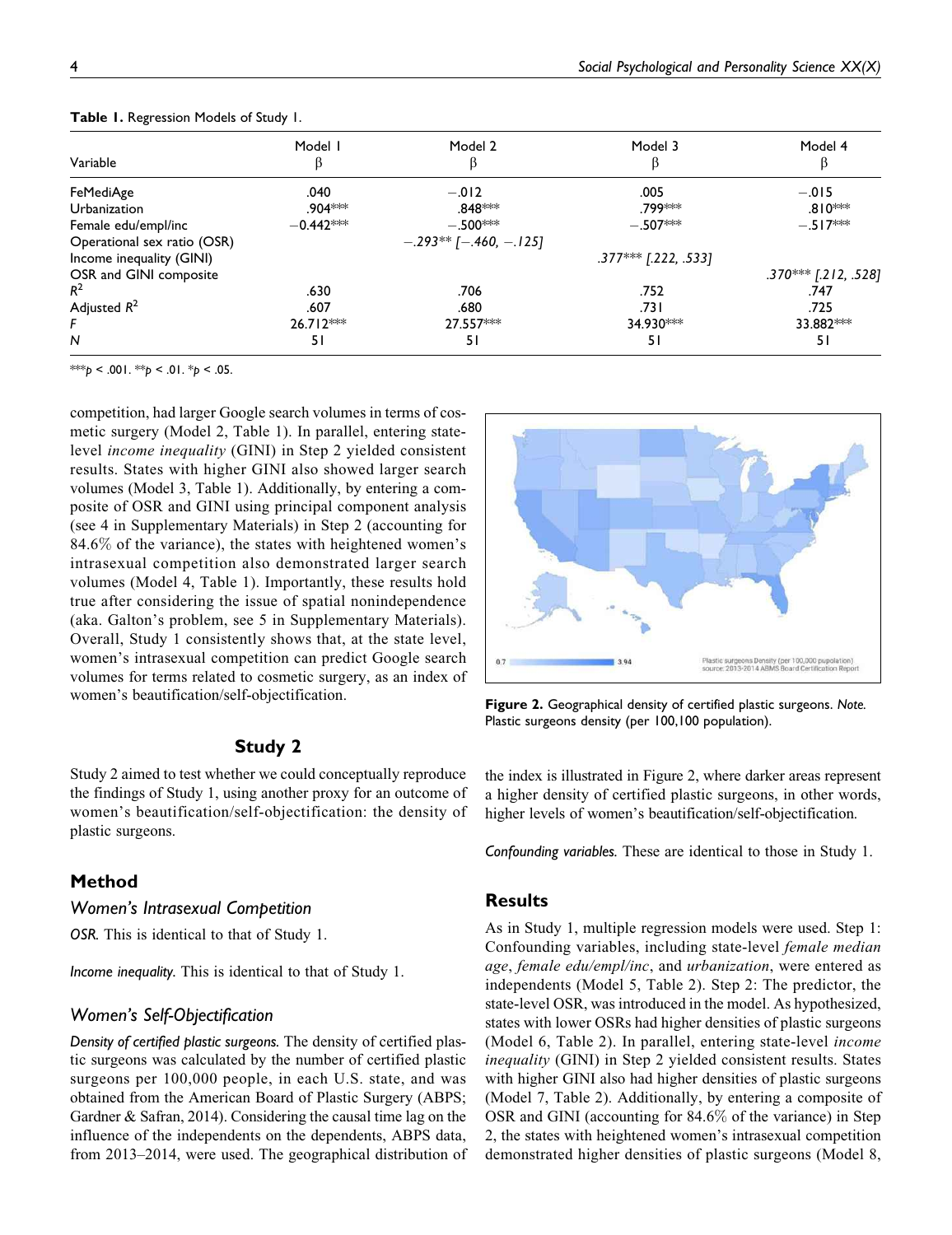| Variable                    | Model I     | Model 2                  | Model 3                | Model 4                |
|-----------------------------|-------------|--------------------------|------------------------|------------------------|
| FeMediAge                   | .040        | $-.012$                  | .005                   | $-.015$                |
| <b>Urbanization</b>         | .904***     | .848 <sup>∗⇔⊭</sup>      | .799 <sup>*</sup> *    | $.810***$              |
| Female edu/empl/inc         | $-0.442**$  | $-.500***$               | $-.507***$             | $-.517***$             |
| Operational sex ratio (OSR) |             | $-.293**$ [-.460, -.125] |                        |                        |
| Income inequality (GINI)    |             |                          | $.377***$ [.222, .533] |                        |
| OSR and GINI composite      |             |                          |                        | $.370***$ [.212, .528] |
| $R^2$                       | .630        | .706                     | .752                   | .747                   |
| Adjusted $R^2$              | .607        | .680                     | ا 73.                  | .725                   |
|                             | $26.712***$ | 27.557***                | 34.930***              | 33.882***              |
| N                           | 51          | 51                       | 51                     | 51                     |

Table 1. Regression Models of Study 1.

\*\*\*p < .001. \*\*p < .01. \*p < .05.

competition, had larger Google search volumes in terms of cosmetic surgery (Model 2, Table 1). In parallel, entering statelevel income inequality (GINI) in Step 2 yielded consistent results. States with higher GINI also showed larger search volumes (Model 3, Table 1). Additionally, by entering a composite of OSR and GINI using principal component analysis (see 4 in Supplementary Materials) in Step 2 (accounting for 84.6% of the variance), the states with heightened women's intrasexual competition also demonstrated larger search volumes (Model 4, Table 1). Importantly, these results hold true after considering the issue of spatial nonindependence (aka. Galton's problem, see 5 in Supplementary Materials). Overall, Study 1 consistently shows that, at the state level, women's intrasexual competition can predict Google search volumes for terms related to cosmetic surgery, as an index of women's beautification/self-objectification.

# Study 2

Study 2 aimed to test whether we could conceptually reproduce the findings of Study 1, using another proxy for an outcome of women's beautification/self-objectification: the density of plastic surgeons.

# Method

# Women's Intrasexual Competition

OSR. This is identical to that of Study 1.

Income inequality. This is identical to that of Study 1.

#### Women's Self-Objectification

Density of certified plastic surgeons. The density of certified plastic surgeons was calculated by the number of certified plastic surgeons per 100,000 people, in each U.S. state, and was obtained from the American Board of Plastic Surgery (ABPS; Gardner & Safran, 2014). Considering the causal time lag on the influence of the independents on the dependents, ABPS data, from 2013–2014, were used. The geographical distribution of



Figure 2. Geographical density of certified plastic surgeons. Note. Plastic surgeons density (per 100,100 population).

the index is illustrated in Figure 2, where darker areas represent a higher density of certified plastic surgeons, in other words, higher levels of women's beautification/self-objectification.

Confounding variables. These are identical to those in Study 1.

# **Results**

As in Study 1, multiple regression models were used. Step 1: Confounding variables, including state-level female median age, female edu/empl/inc, and urbanization, were entered as independents (Model 5, Table 2). Step 2: The predictor, the state-level OSR, was introduced in the model. As hypothesized, states with lower OSRs had higher densities of plastic surgeons (Model 6, Table 2). In parallel, entering state-level income inequality (GINI) in Step 2 yielded consistent results. States with higher GINI also had higher densities of plastic surgeons (Model 7, Table 2). Additionally, by entering a composite of OSR and GINI (accounting for 84.6% of the variance) in Step 2, the states with heightened women's intrasexual competition demonstrated higher densities of plastic surgeons (Model 8,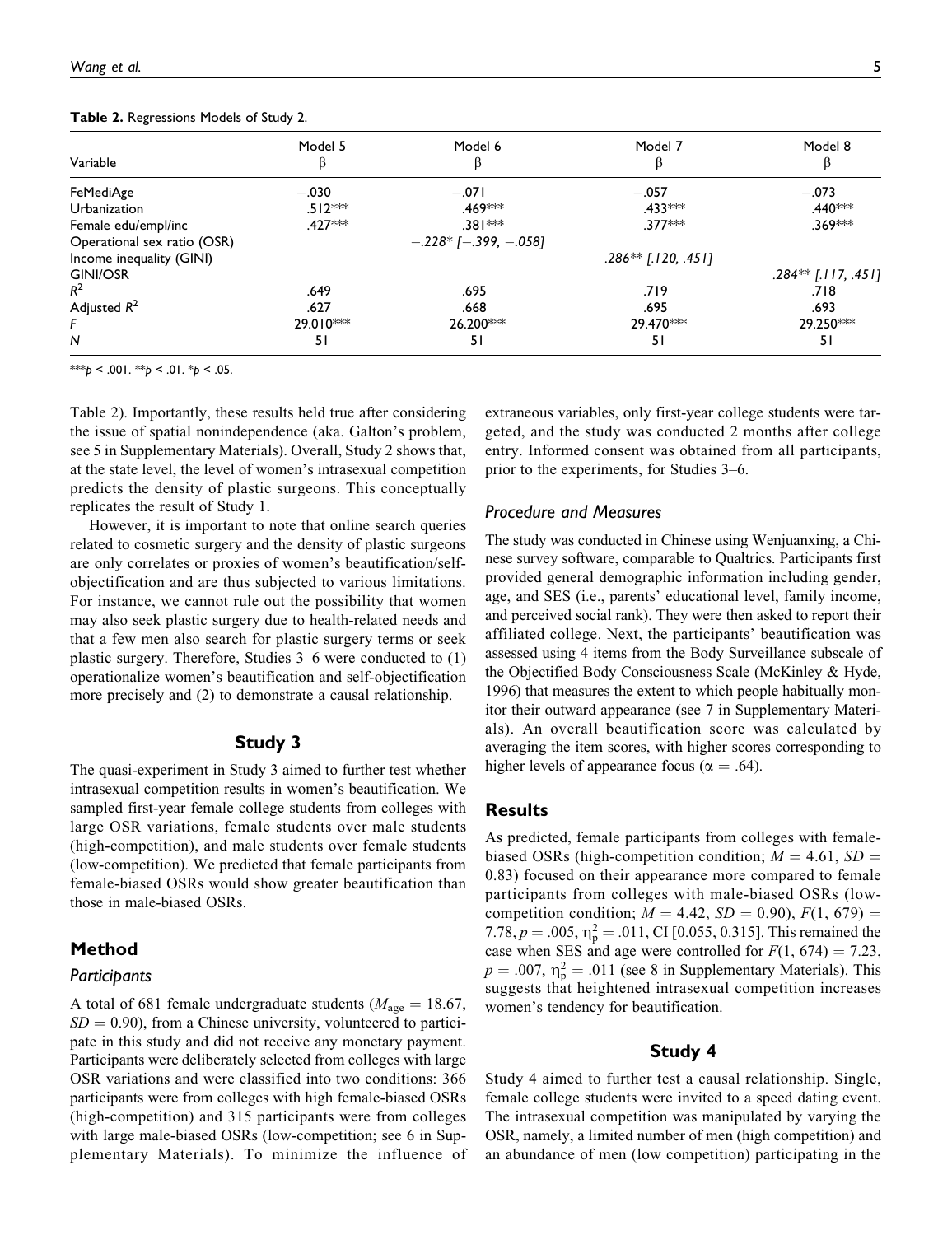| Model 5             | Model 6                     | Model 7               | Model 8               |
|---------------------|-----------------------------|-----------------------|-----------------------|
| $-.030$             | $-.071$                     | $-.057$               | $-.073$               |
| $.512***$           | .469 <sup>***</sup>         | .433 ***              | .440***               |
| .427 <sup>***</sup> | .381 ***                    | $.377***$             | .369***               |
|                     | $-.228*$ [ $-.399, -.058$ ] |                       |                       |
|                     |                             | $.286**$ [.120, .451] |                       |
|                     |                             |                       | $.284**$ [.117, .451] |
| .649                | .695                        | .719                  | .718                  |
| .627                | .668                        | .695                  | .693                  |
| 29.010***           | 26.200***                   | 29.470***             | 29.250***             |
| 51                  | 51                          | 51                    | 51                    |
|                     |                             |                       |                       |

Table 2. Regressions Models of Study 2.

\*\*\*p < .001. \*\*p < .01. \*p < .05.

Table 2). Importantly, these results held true after considering the issue of spatial nonindependence (aka. Galton's problem, see 5 in Supplementary Materials). Overall, Study 2 shows that, at the state level, the level of women's intrasexual competition predicts the density of plastic surgeons. This conceptually replicates the result of Study 1.

However, it is important to note that online search queries related to cosmetic surgery and the density of plastic surgeons are only correlates or proxies of women's beautification/selfobjectification and are thus subjected to various limitations. For instance, we cannot rule out the possibility that women may also seek plastic surgery due to health-related needs and that a few men also search for plastic surgery terms or seek plastic surgery. Therefore, Studies 3–6 were conducted to (1) operationalize women's beautification and self-objectification more precisely and (2) to demonstrate a causal relationship.

# Study 3

The quasi-experiment in Study 3 aimed to further test whether intrasexual competition results in women's beautification. We sampled first-year female college students from colleges with large OSR variations, female students over male students (high-competition), and male students over female students (low-competition). We predicted that female participants from female-biased OSRs would show greater beautification than those in male-biased OSRs.

# Method

# **Participants**

A total of 681 female undergraduate students ( $M_{\text{age}} = 18.67$ ,  $SD = 0.90$ , from a Chinese university, volunteered to participate in this study and did not receive any monetary payment. Participants were deliberately selected from colleges with large OSR variations and were classified into two conditions: 366 participants were from colleges with high female-biased OSRs (high-competition) and 315 participants were from colleges with large male-biased OSRs (low-competition; see 6 in Supplementary Materials). To minimize the influence of extraneous variables, only first-year college students were targeted, and the study was conducted 2 months after college entry. Informed consent was obtained from all participants, prior to the experiments, for Studies 3–6.

# Procedure and Measures

The study was conducted in Chinese using Wenjuanxing, a Chinese survey software, comparable to Qualtrics. Participants first provided general demographic information including gender, age, and SES (i.e., parents' educational level, family income, and perceived social rank). They were then asked to report their affiliated college. Next, the participants' beautification was assessed using 4 items from the Body Surveillance subscale of the Objectified Body Consciousness Scale (McKinley & Hyde, 1996) that measures the extent to which people habitually monitor their outward appearance (see 7 in Supplementary Materials). An overall beautification score was calculated by averaging the item scores, with higher scores corresponding to higher levels of appearance focus ( $\alpha = .64$ ).

# Results

As predicted, female participants from colleges with femalebiased OSRs (high-competition condition;  $M = 4.61$ ,  $SD =$ 0.83) focused on their appearance more compared to female participants from colleges with male-biased OSRs (lowcompetition condition;  $M = 4.42$ ,  $SD = 0.90$ ),  $F(1, 679) =$ 7.78,  $p = .005$ ,  $\eta_{\rm p}^2 = .011$ , CI [0.055, 0.315]. This remained the case when SES and age were controlled for  $F(1, 674) = 7.23$ ,  $p = .007$ ,  $\eta_p^2 = .011$  (see 8 in Supplementary Materials). This suggests that heightened intrasexual competition increases women's tendency for beautification.

# Study 4

Study 4 aimed to further test a causal relationship. Single, female college students were invited to a speed dating event. The intrasexual competition was manipulated by varying the OSR, namely, a limited number of men (high competition) and an abundance of men (low competition) participating in the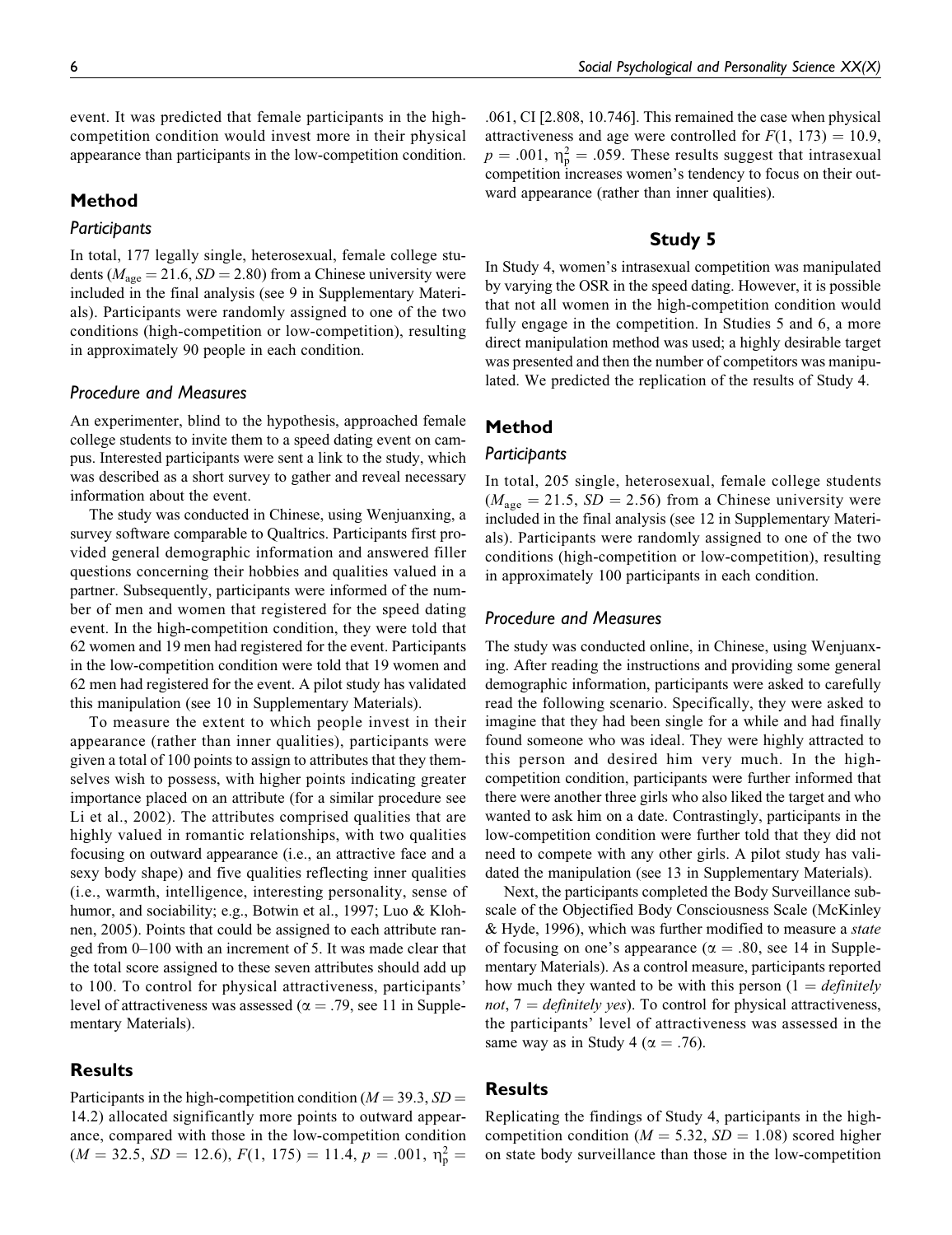event. It was predicted that female participants in the highcompetition condition would invest more in their physical appearance than participants in the low-competition condition.

# Method

# **Participants**

In total, 177 legally single, heterosexual, female college students ( $M_{\text{age}} = 21.6$ ,  $SD = 2.80$ ) from a Chinese university were included in the final analysis (see 9 in Supplementary Materials). Participants were randomly assigned to one of the two conditions (high-competition or low-competition), resulting in approximately 90 people in each condition.

## Procedure and Measures

An experimenter, blind to the hypothesis, approached female college students to invite them to a speed dating event on campus. Interested participants were sent a link to the study, which was described as a short survey to gather and reveal necessary information about the event.

The study was conducted in Chinese, using Wenjuanxing, a survey software comparable to Qualtrics. Participants first provided general demographic information and answered filler questions concerning their hobbies and qualities valued in a partner. Subsequently, participants were informed of the number of men and women that registered for the speed dating event. In the high-competition condition, they were told that 62 women and 19 men had registered for the event. Participants in the low-competition condition were told that 19 women and 62 men had registered for the event. A pilot study has validated this manipulation (see 10 in Supplementary Materials).

To measure the extent to which people invest in their appearance (rather than inner qualities), participants were given a total of 100 points to assign to attributes that they themselves wish to possess, with higher points indicating greater importance placed on an attribute (for a similar procedure see Li et al., 2002). The attributes comprised qualities that are highly valued in romantic relationships, with two qualities focusing on outward appearance (i.e., an attractive face and a sexy body shape) and five qualities reflecting inner qualities (i.e., warmth, intelligence, interesting personality, sense of humor, and sociability; e.g., Botwin et al., 1997; Luo & Klohnen, 2005). Points that could be assigned to each attribute ranged from 0–100 with an increment of 5. It was made clear that the total score assigned to these seven attributes should add up to 100. To control for physical attractiveness, participants' level of attractiveness was assessed ( $\alpha = .79$ , see 11 in Supplementary Materials).

## **Results**

Participants in the high-competition condition ( $M = 39.3$ ,  $SD =$ 14.2) allocated significantly more points to outward appearance, compared with those in the low-competition condition  $(M = 32.5, SD = 12.6), F(1, 175) = 11.4, p = .001, \eta_p^2 =$ 

.061, CI [2.808, 10.746]. This remained the case when physical attractiveness and age were controlled for  $F(1, 173) = 10.9$ ,  $p = .001$ ,  $\eta_p^2 = .059$ . These results suggest that intrasexual competition increases women's tendency to focus on their outward appearance (rather than inner qualities).

# Study 5

In Study 4, women's intrasexual competition was manipulated by varying the OSR in the speed dating. However, it is possible that not all women in the high-competition condition would fully engage in the competition. In Studies 5 and 6, a more direct manipulation method was used; a highly desirable target was presented and then the number of competitors was manipulated. We predicted the replication of the results of Study 4.

## Method

#### Participants

In total, 205 single, heterosexual, female college students  $(M<sub>age</sub> = 21.5, SD = 2.56)$  from a Chinese university were included in the final analysis (see 12 in Supplementary Materials). Participants were randomly assigned to one of the two conditions (high-competition or low-competition), resulting in approximately 100 participants in each condition.

#### Procedure and Measures

The study was conducted online, in Chinese, using Wenjuanxing. After reading the instructions and providing some general demographic information, participants were asked to carefully read the following scenario. Specifically, they were asked to imagine that they had been single for a while and had finally found someone who was ideal. They were highly attracted to this person and desired him very much. In the highcompetition condition, participants were further informed that there were another three girls who also liked the target and who wanted to ask him on a date. Contrastingly, participants in the low-competition condition were further told that they did not need to compete with any other girls. A pilot study has validated the manipulation (see 13 in Supplementary Materials).

Next, the participants completed the Body Surveillance subscale of the Objectified Body Consciousness Scale (McKinley & Hyde, 1996), which was further modified to measure a state of focusing on one's appearance ( $\alpha = .80$ , see 14 in Supplementary Materials). As a control measure, participants reported how much they wanted to be with this person  $(1 = \text{definitely})$ not,  $7 =$  definitely yes). To control for physical attractiveness, the participants' level of attractiveness was assessed in the same way as in Study 4 ( $\alpha = .76$ ).

## Results

Replicating the findings of Study 4, participants in the highcompetition condition ( $M = 5.32$ ,  $SD = 1.08$ ) scored higher on state body surveillance than those in the low-competition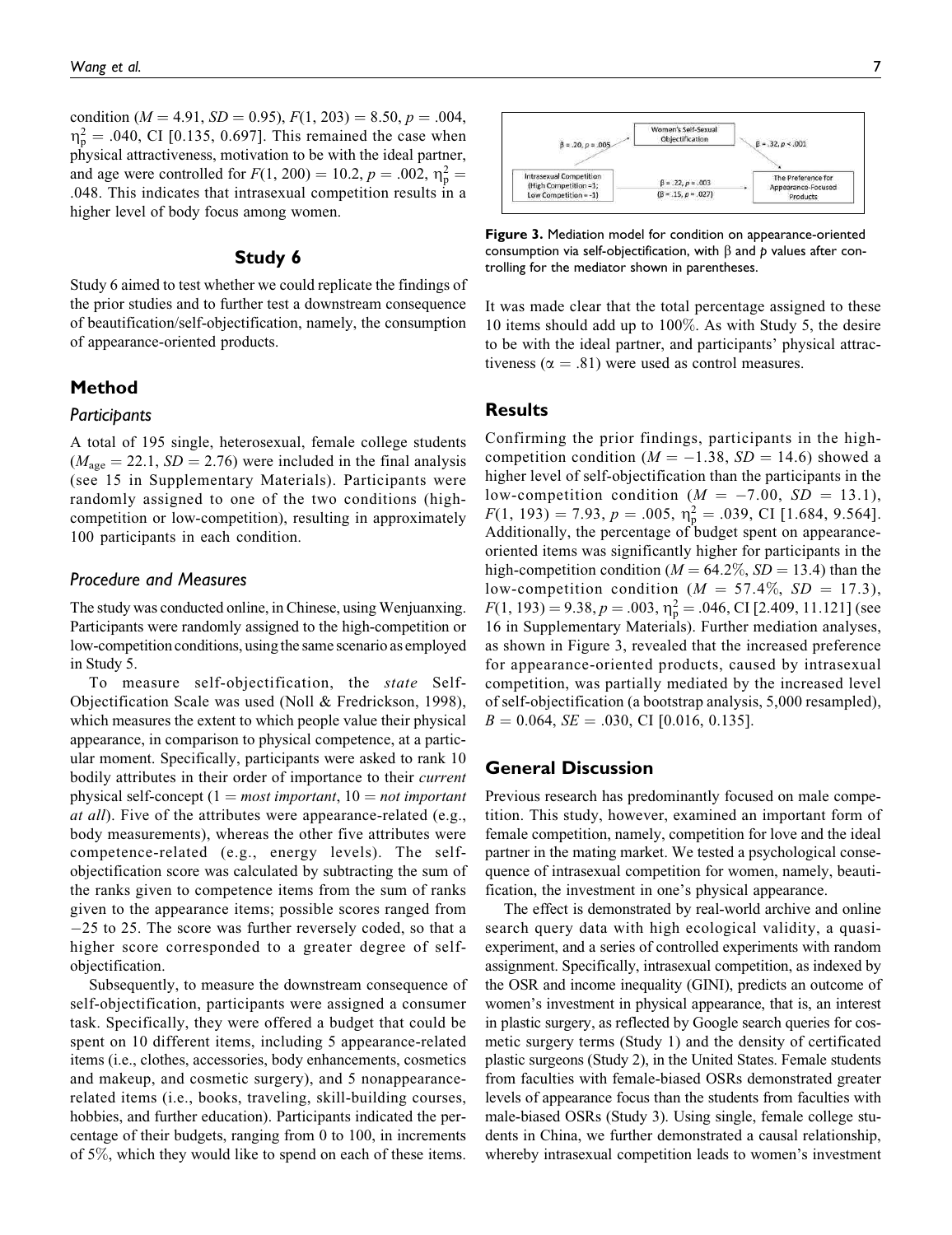condition ( $M = 4.91$ ,  $SD = 0.95$ ),  $F(1, 203) = 8.50$ ,  $p = .004$ ,  $\eta_{\rm p}^2 = .040$ , CI [0.135, 0.697]. This remained the case when physical attractiveness, motivation to be with the ideal partner, and age were controlled for  $F(1, 200) = 10.2, p = .002, \eta_{\rm p}^2 =$ .048. This indicates that intrasexual competition results in a higher level of body focus among women.

### Study 6

Study 6 aimed to test whether we could replicate the findings of the prior studies and to further test a downstream consequence of beautification/self-objectification, namely, the consumption of appearance-oriented products.

# Method

#### Participants

A total of 195 single, heterosexual, female college students  $(M<sub>age</sub> = 22.1, SD = 2.76)$  were included in the final analysis (see 15 in Supplementary Materials). Participants were randomly assigned to one of the two conditions (highcompetition or low-competition), resulting in approximately 100 participants in each condition.

### Procedure and Measures

The study was conducted online, in Chinese, using Wenjuanxing. Participants were randomly assigned to the high-competition or low-competition conditions, using the same scenario as employed in Study 5.

To measure self-objectification, the state Self-Objectification Scale was used (Noll & Fredrickson, 1998), which measures the extent to which people value their physical appearance, in comparison to physical competence, at a particular moment. Specifically, participants were asked to rank 10 bodily attributes in their order of importance to their *current* physical self-concept  $(1 = most important, 10 = not important)$ at all). Five of the attributes were appearance-related (e.g., body measurements), whereas the other five attributes were competence-related (e.g., energy levels). The selfobjectification score was calculated by subtracting the sum of the ranks given to competence items from the sum of ranks given to the appearance items; possible scores ranged from -25 to 25. The score was further reversely coded, so that a higher score corresponded to a greater degree of selfobjectification.

Subsequently, to measure the downstream consequence of self-objectification, participants were assigned a consumer task. Specifically, they were offered a budget that could be spent on 10 different items, including 5 appearance-related items (i.e., clothes, accessories, body enhancements, cosmetics and makeup, and cosmetic surgery), and 5 nonappearancerelated items (i.e., books, traveling, skill-building courses, hobbies, and further education). Participants indicated the percentage of their budgets, ranging from 0 to 100, in increments of 5%, which they would like to spend on each of these items.



Figure 3. Mediation model for condition on appearance-oriented consumption via self-objectification, with  $\beta$  and  $p$  values after controlling for the mediator shown in parentheses.

It was made clear that the total percentage assigned to these 10 items should add up to 100%. As with Study 5, the desire to be with the ideal partner, and participants' physical attractiveness ( $\alpha = .81$ ) were used as control measures.

# Results

Confirming the prior findings, participants in the highcompetition condition ( $M = -1.38$ ,  $SD = 14.6$ ) showed a higher level of self-objectification than the participants in the low-competition condition  $(M = -7.00, SD = 13.1)$ ,  $F(1, 193) = 7.93, p = .005, \eta_{p}^{2} = .039, \text{ CI} [1.684, 9.564].$ Additionally, the percentage of budget spent on appearanceoriented items was significantly higher for participants in the high-competition condition ( $M = 64.2\%$ ,  $SD = 13.4$ ) than the low-competition condition ( $M = 57.4\%$ ,  $SD = 17.3$ ),  $F(1, 193) = 9.38, p = .003, \eta_p^2 = .046, \text{CI} [2.409, 11.121]$  (see 16 in Supplementary Materials). Further mediation analyses, as shown in Figure 3, revealed that the increased preference for appearance-oriented products, caused by intrasexual competition, was partially mediated by the increased level of self-objectification (a bootstrap analysis, 5,000 resampled),  $B = 0.064$ ,  $SE = .030$ , CI [0.016, 0.135].

# General Discussion

Previous research has predominantly focused on male competition. This study, however, examined an important form of female competition, namely, competition for love and the ideal partner in the mating market. We tested a psychological consequence of intrasexual competition for women, namely, beautification, the investment in one's physical appearance.

The effect is demonstrated by real-world archive and online search query data with high ecological validity, a quasiexperiment, and a series of controlled experiments with random assignment. Specifically, intrasexual competition, as indexed by the OSR and income inequality (GINI), predicts an outcome of women's investment in physical appearance, that is, an interest in plastic surgery, as reflected by Google search queries for cosmetic surgery terms (Study 1) and the density of certificated plastic surgeons (Study 2), in the United States. Female students from faculties with female-biased OSRs demonstrated greater levels of appearance focus than the students from faculties with male-biased OSRs (Study 3). Using single, female college students in China, we further demonstrated a causal relationship, whereby intrasexual competition leads to women's investment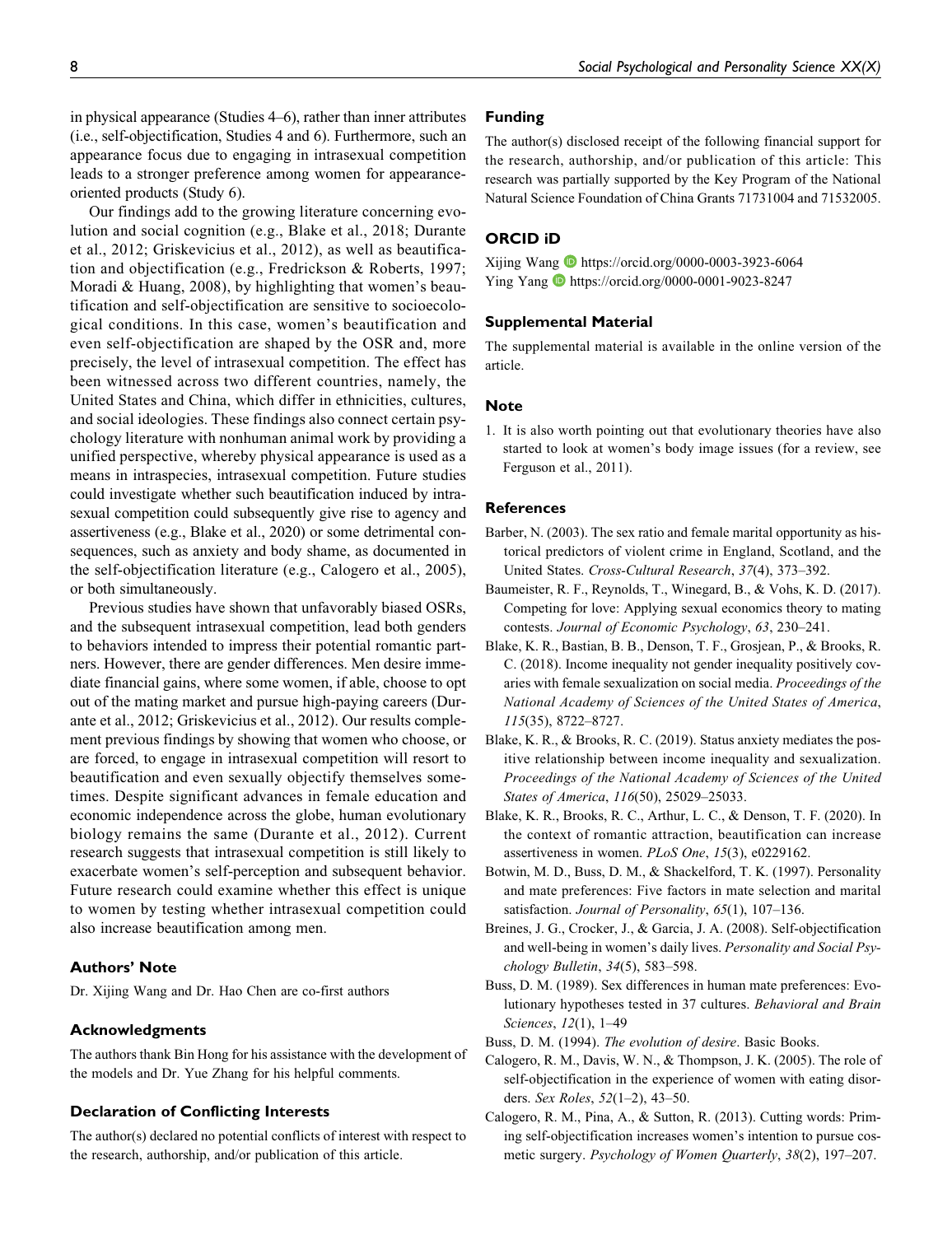in physical appearance (Studies 4–6), rather than inner attributes (i.e., self-objectification, Studies 4 and 6). Furthermore, such an appearance focus due to engaging in intrasexual competition leads to a stronger preference among women for appearanceoriented products (Study 6).

Our findings add to the growing literature concerning evolution and social cognition (e.g., Blake et al., 2018; Durante et al., 2012; Griskevicius et al., 2012), as well as beautification and objectification (e.g., Fredrickson & Roberts, 1997; Moradi & Huang, 2008), by highlighting that women's beautification and self-objectification are sensitive to socioecological conditions. In this case, women's beautification and even self-objectification are shaped by the OSR and, more precisely, the level of intrasexual competition. The effect has been witnessed across two different countries, namely, the United States and China, which differ in ethnicities, cultures, and social ideologies. These findings also connect certain psychology literature with nonhuman animal work by providing a unified perspective, whereby physical appearance is used as a means in intraspecies, intrasexual competition. Future studies could investigate whether such beautification induced by intrasexual competition could subsequently give rise to agency and assertiveness (e.g., Blake et al., 2020) or some detrimental consequences, such as anxiety and body shame, as documented in the self-objectification literature (e.g., Calogero et al., 2005), or both simultaneously.

Previous studies have shown that unfavorably biased OSRs, and the subsequent intrasexual competition, lead both genders to behaviors intended to impress their potential romantic partners. However, there are gender differences. Men desire immediate financial gains, where some women, if able, choose to opt out of the mating market and pursue high-paying careers (Durante et al., 2012; Griskevicius et al., 2012). Our results complement previous findings by showing that women who choose, or are forced, to engage in intrasexual competition will resort to beautification and even sexually objectify themselves sometimes. Despite significant advances in female education and economic independence across the globe, human evolutionary biology remains the same (Durante et al., 2012). Current research suggests that intrasexual competition is still likely to exacerbate women's self-perception and subsequent behavior. Future research could examine whether this effect is unique to women by testing whether intrasexual competition could also increase beautification among men.

# Authors' Note

Dr. Xijing Wang and Dr. Hao Chen are co-first authors

#### Acknowledgments

The authors thank Bin Hong for his assistance with the development of the models and Dr. Yue Zhang for his helpful comments.

#### Declaration of Conflicting Interests

The author(s) declared no potential conflicts of interest with respect to the research, authorship, and/or publication of this article.

#### Funding

The author(s) disclosed receipt of the following financial support for the research, authorship, and/or publication of this article: This research was partially supported by the Key Program of the National Natural Science Foundation of China Grants 71731004 and 71532005.

## ORCID iD

Xijing Wang  $\bullet$  https://orcid.org/0000-0003-3923-6064 Ying Yang D https://orcid.org/0000-0001-9023-8247

#### Supplemental Material

The supplemental material is available in the online version of the article.

#### Note

1. It is also worth pointing out that evolutionary theories have also started to look at women's body image issues (for a review, see Ferguson et al., 2011).

#### **References**

- Barber, N. (2003). The sex ratio and female marital opportunity as historical predictors of violent crime in England, Scotland, and the United States. Cross-Cultural Research, 37(4), 373–392.
- Baumeister, R. F., Reynolds, T., Winegard, B., & Vohs, K. D. (2017). Competing for love: Applying sexual economics theory to mating contests. Journal of Economic Psychology, 63, 230–241.
- Blake, K. R., Bastian, B. B., Denson, T. F., Grosjean, P., & Brooks, R. C. (2018). Income inequality not gender inequality positively covaries with female sexualization on social media. Proceedings of the National Academy of Sciences of the United States of America, 115(35), 8722–8727.
- Blake, K. R., & Brooks, R. C. (2019). Status anxiety mediates the positive relationship between income inequality and sexualization. Proceedings of the National Academy of Sciences of the United States of America, 116(50), 25029–25033.
- Blake, K. R., Brooks, R. C., Arthur, L. C., & Denson, T. F. (2020). In the context of romantic attraction, beautification can increase assertiveness in women. PLoS One, 15(3), e0229162.
- Botwin, M. D., Buss, D. M., & Shackelford, T. K. (1997). Personality and mate preferences: Five factors in mate selection and marital satisfaction. Journal of Personality, 65(1), 107-136.
- Breines, J. G., Crocker, J., & Garcia, J. A. (2008). Self-objectification and well-being in women's daily lives. Personality and Social Psychology Bulletin, 34(5), 583–598.
- Buss, D. M. (1989). Sex differences in human mate preferences: Evolutionary hypotheses tested in 37 cultures. Behavioral and Brain Sciences, 12(1), 1–49
- Buss, D. M. (1994). The evolution of desire. Basic Books.
- Calogero, R. M., Davis, W. N., & Thompson, J. K. (2005). The role of self-objectification in the experience of women with eating disorders. Sex Roles, 52(1–2), 43–50.
- Calogero, R. M., Pina, A., & Sutton, R. (2013). Cutting words: Priming self-objectification increases women's intention to pursue cosmetic surgery. Psychology of Women Quarterly, 38(2), 197–207.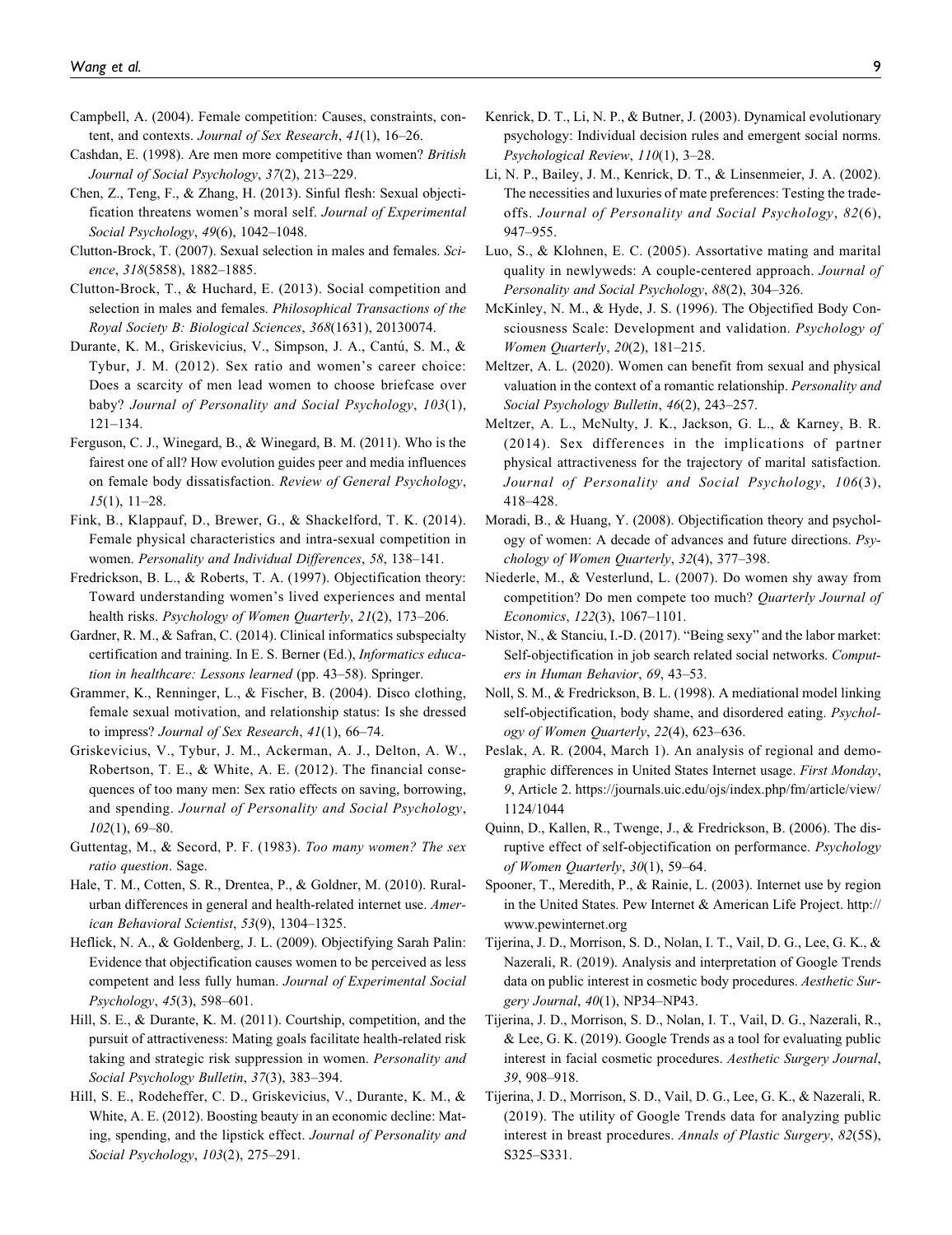- Campbell, A. (2004). Female competition: Causes, constraints, content, and contexts. Journal of Sex Research, 41(1), 16–26.
- Cashdan, E. (1998). Are men more competitive than women? British Journal of Social Psychology, 37(2), 213–229.
- Chen, Z., Teng, F., & Zhang, H. (2013). Sinful flesh: Sexual objectification threatens women's moral self. Journal of Experimental Social Psychology, 49(6), 1042–1048.
- Clutton-Brock, T. (2007). Sexual selection in males and females. Science, 318(5858), 1882–1885.
- Clutton-Brock, T., & Huchard, E. (2013). Social competition and selection in males and females. Philosophical Transactions of the Royal Society B: Biological Sciences, 368(1631), 20130074.
- Durante, K. M., Griskevicius, V., Simpson, J. A., Cantú, S. M., & Tybur, J. M. (2012). Sex ratio and women's career choice: Does a scarcity of men lead women to choose briefcase over baby? Journal of Personality and Social Psychology, 103(1), 121–134.
- Ferguson, C. J., Winegard, B., & Winegard, B. M. (2011). Who is the fairest one of all? How evolution guides peer and media influences on female body dissatisfaction. Review of General Psychology, 15(1), 11–28.
- Fink, B., Klappauf, D., Brewer, G., & Shackelford, T. K. (2014). Female physical characteristics and intra-sexual competition in women. Personality and Individual Differences, 58, 138–141.
- Fredrickson, B. L., & Roberts, T. A. (1997). Objectification theory: Toward understanding women's lived experiences and mental health risks. Psychology of Women Quarterly, 21(2), 173-206.
- Gardner, R. M., & Safran, C. (2014). Clinical informatics subspecialty certification and training. In E. S. Berner (Ed.), Informatics education in healthcare: Lessons learned (pp. 43–58). Springer.
- Grammer, K., Renninger, L., & Fischer, B. (2004). Disco clothing, female sexual motivation, and relationship status: Is she dressed to impress? Journal of Sex Research, 41(1), 66–74.
- Griskevicius, V., Tybur, J. M., Ackerman, A. J., Delton, A. W., Robertson, T. E., & White, A. E. (2012). The financial consequences of too many men: Sex ratio effects on saving, borrowing, and spending. Journal of Personality and Social Psychology, 102(1), 69–80.
- Guttentag, M., & Secord, P. F. (1983). Too many women? The sex ratio question. Sage.
- Hale, T. M., Cotten, S. R., Drentea, P., & Goldner, M. (2010). Ruralurban differences in general and health-related internet use. American Behavioral Scientist, 53(9), 1304–1325.
- Heflick, N. A., & Goldenberg, J. L. (2009). Objectifying Sarah Palin: Evidence that objectification causes women to be perceived as less competent and less fully human. Journal of Experimental Social Psychology, 45(3), 598–601.
- Hill, S. E., & Durante, K. M. (2011). Courtship, competition, and the pursuit of attractiveness: Mating goals facilitate health-related risk taking and strategic risk suppression in women. Personality and Social Psychology Bulletin, 37(3), 383–394.
- Hill, S. E., Rodeheffer, C. D., Griskevicius, V., Durante, K. M., & White, A. E. (2012). Boosting beauty in an economic decline: Mating, spending, and the lipstick effect. Journal of Personality and Social Psychology, 103(2), 275–291.
- Kenrick, D. T., Li, N. P., & Butner, J. (2003). Dynamical evolutionary psychology: Individual decision rules and emergent social norms. Psychological Review, 110(1), 3–28.
- Li, N. P., Bailey, J. M., Kenrick, D. T., & Linsenmeier, J. A. (2002). The necessities and luxuries of mate preferences: Testing the tradeoffs. Journal of Personality and Social Psychology, 82(6), 947–955.
- Luo, S., & Klohnen, E. C. (2005). Assortative mating and marital quality in newlyweds: A couple-centered approach. Journal of Personality and Social Psychology, 88(2), 304–326.
- McKinley, N. M., & Hyde, J. S. (1996). The Objectified Body Consciousness Scale: Development and validation. Psychology of Women Quarterly, 20(2), 181–215.
- Meltzer, A. L. (2020). Women can benefit from sexual and physical valuation in the context of a romantic relationship. Personality and Social Psychology Bulletin, 46(2), 243–257.
- Meltzer, A. L., McNulty, J. K., Jackson, G. L., & Karney, B. R. (2014). Sex differences in the implications of partner physical attractiveness for the trajectory of marital satisfaction. Journal of Personality and Social Psychology, 106(3), 418–428.
- Moradi, B., & Huang, Y. (2008). Objectification theory and psychology of women: A decade of advances and future directions. Psychology of Women Quarterly, 32(4), 377–398.
- Niederle, M., & Vesterlund, L. (2007). Do women shy away from competition? Do men compete too much? Quarterly Journal of Economics, 122(3), 1067–1101.
- Nistor, N., & Stanciu, I.-D. (2017). "Being sexy" and the labor market: Self-objectification in job search related social networks. Computers in Human Behavior, 69, 43–53.
- Noll, S. M., & Fredrickson, B. L. (1998). A mediational model linking self-objectification, body shame, and disordered eating. Psychology of Women Quarterly, 22(4), 623–636.
- Peslak, A. R. (2004, March 1). An analysis of regional and demographic differences in United States Internet usage. First Monday, 9, Article 2. https://journals.uic.edu/ojs/index.php/fm/article/view/ 1124/1044
- Quinn, D., Kallen, R., Twenge, J., & Fredrickson, B. (2006). The disruptive effect of self-objectification on performance. Psychology of Women Quarterly, 30(1), 59–64.
- Spooner, T., Meredith, P., & Rainie, L. (2003). Internet use by region in the United States. Pew Internet & American Life Project. http:// www.pewinternet.org
- Tijerina, J. D., Morrison, S. D., Nolan, I. T., Vail, D. G., Lee, G. K., & Nazerali, R. (2019). Analysis and interpretation of Google Trends data on public interest in cosmetic body procedures. Aesthetic Surgery Journal, 40(1), NP34–NP43.
- Tijerina, J. D., Morrison, S. D., Nolan, I. T., Vail, D. G., Nazerali, R., & Lee, G. K. (2019). Google Trends as a tool for evaluating public interest in facial cosmetic procedures. Aesthetic Surgery Journal, 39, 908–918.
- Tijerina, J. D., Morrison, S. D., Vail, D. G., Lee, G. K., & Nazerali, R. (2019). The utility of Google Trends data for analyzing public interest in breast procedures. Annals of Plastic Surgery, 82(5S), S325–S331.